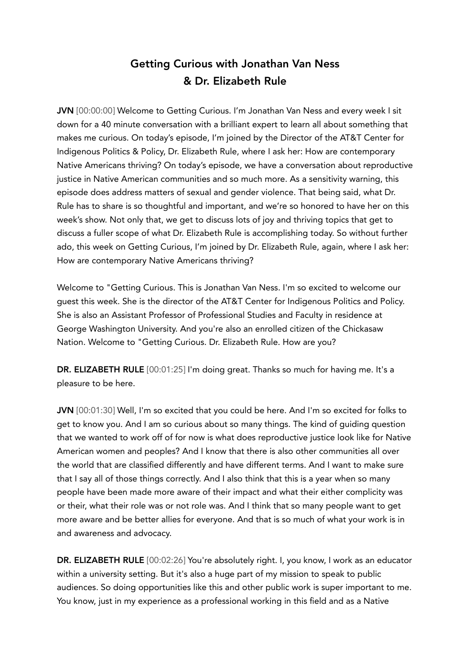# Getting Curious with Jonathan Van Ness & Dr. Elizabeth Rule

JVN [00:00:00] Welcome to Getting Curious. I'm Jonathan Van Ness and every week I sit down for a 40 minute conversation with a brilliant expert to learn all about something that makes me curious. On today's episode, I'm joined by the Director of the AT&T Center for Indigenous Politics & Policy, Dr. Elizabeth Rule, where I ask her: How are contemporary Native Americans thriving? On today's episode, we have a conversation about reproductive justice in Native American communities and so much more. As a sensitivity warning, this episode does address matters of sexual and gender violence. That being said, what Dr. Rule has to share is so thoughtful and important, and we're so honored to have her on this week's show. Not only that, we get to discuss lots of joy and thriving topics that get to discuss a fuller scope of what Dr. Elizabeth Rule is accomplishing today. So without further ado, this week on Getting Curious, I'm joined by Dr. Elizabeth Rule, again, where I ask her: How are contemporary Native Americans thriving?

Welcome to "Getting Curious. This is Jonathan Van Ness. I'm so excited to welcome our guest this week. She is the director of the AT&T Center for Indigenous Politics and Policy. She is also an Assistant Professor of Professional Studies and Faculty in residence at George Washington University. And you're also an enrolled citizen of the Chickasaw Nation. Welcome to "Getting Curious. Dr. Elizabeth Rule. How are you?

DR. ELIZABETH RULE [00:01:25] I'm doing great. Thanks so much for having me. It's a pleasure to be here.

JVN [00:01:30] Well, I'm so excited that you could be here. And I'm so excited for folks to get to know you. And I am so curious about so many things. The kind of guiding question that we wanted to work off of for now is what does reproductive justice look like for Native American women and peoples? And I know that there is also other communities all over the world that are classified differently and have different terms. And I want to make sure that I say all of those things correctly. And I also think that this is a year when so many people have been made more aware of their impact and what their either complicity was or their, what their role was or not role was. And I think that so many people want to get more aware and be better allies for everyone. And that is so much of what your work is in and awareness and advocacy.

DR. ELIZABETH RULE [00:02:26] You're absolutely right. I, you know, I work as an educator within a university setting. But it's also a huge part of my mission to speak to public audiences. So doing opportunities like this and other public work is super important to me. You know, just in my experience as a professional working in this field and as a Native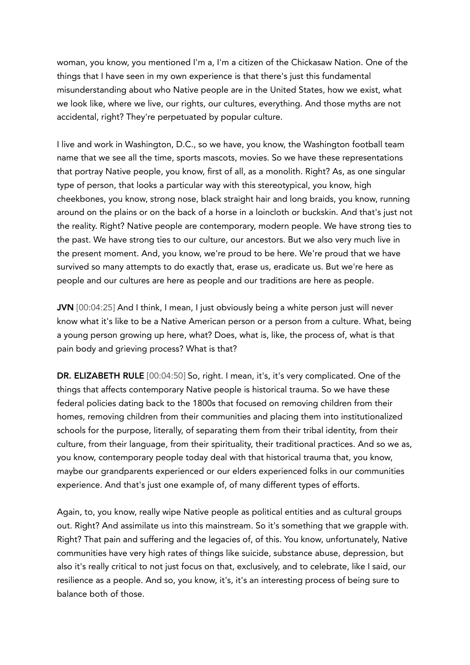woman, you know, you mentioned I'm a, I'm a citizen of the Chickasaw Nation. One of the things that I have seen in my own experience is that there's just this fundamental misunderstanding about who Native people are in the United States, how we exist, what we look like, where we live, our rights, our cultures, everything. And those myths are not accidental, right? They're perpetuated by popular culture.

I live and work in Washington, D.C., so we have, you know, the Washington football team name that we see all the time, sports mascots, movies. So we have these representations that portray Native people, you know, first of all, as a monolith. Right? As, as one singular type of person, that looks a particular way with this stereotypical, you know, high cheekbones, you know, strong nose, black straight hair and long braids, you know, running around on the plains or on the back of a horse in a loincloth or buckskin. And that's just not the reality. Right? Native people are contemporary, modern people. We have strong ties to the past. We have strong ties to our culture, our ancestors. But we also very much live in the present moment. And, you know, we're proud to be here. We're proud that we have survived so many attempts to do exactly that, erase us, eradicate us. But we're here as people and our cultures are here as people and our traditions are here as people.

JVN [00:04:25] And I think, I mean, I just obviously being a white person just will never know what it's like to be a Native American person or a person from a culture. What, being a young person growing up here, what? Does, what is, like, the process of, what is that pain body and grieving process? What is that?

DR. ELIZABETH RULE [00:04:50] So, right. I mean, it's, it's very complicated. One of the things that affects contemporary Native people is historical trauma. So we have these federal policies dating back to the 1800s that focused on removing children from their homes, removing children from their communities and placing them into institutionalized schools for the purpose, literally, of separating them from their tribal identity, from their culture, from their language, from their spirituality, their traditional practices. And so we as, you know, contemporary people today deal with that historical trauma that, you know, maybe our grandparents experienced or our elders experienced folks in our communities experience. And that's just one example of, of many different types of efforts.

Again, to, you know, really wipe Native people as political entities and as cultural groups out. Right? And assimilate us into this mainstream. So it's something that we grapple with. Right? That pain and suffering and the legacies of, of this. You know, unfortunately, Native communities have very high rates of things like suicide, substance abuse, depression, but also it's really critical to not just focus on that, exclusively, and to celebrate, like I said, our resilience as a people. And so, you know, it's, it's an interesting process of being sure to balance both of those.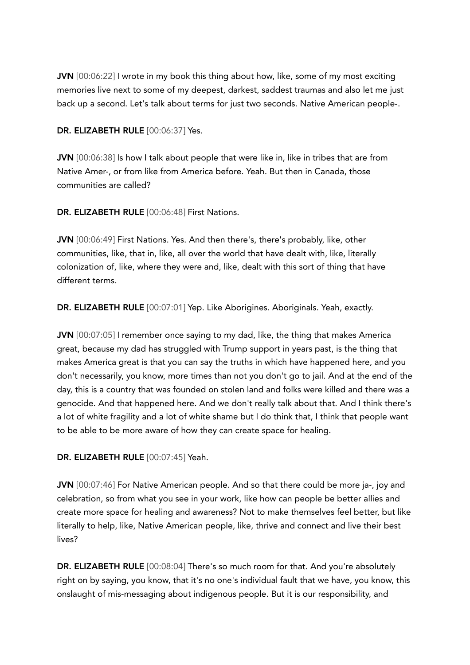JVN [00:06:22] I wrote in my book this thing about how, like, some of my most exciting memories live next to some of my deepest, darkest, saddest traumas and also let me just back up a second. Let's talk about terms for just two seconds. Native American people-.

### DR. ELIZABETH RULE [00:06:37] Yes.

JVN [00:06:38] Is how I talk about people that were like in, like in tribes that are from Native Amer-, or from like from America before. Yeah. But then in Canada, those communities are called?

DR. ELIZABETH RULE [00:06:48] First Nations.

JVN [00:06:49] First Nations. Yes. And then there's, there's probably, like, other communities, like, that in, like, all over the world that have dealt with, like, literally colonization of, like, where they were and, like, dealt with this sort of thing that have different terms.

DR. ELIZABETH RULE [00:07:01] Yep. Like Aborigines. Aboriginals. Yeah, exactly.

JVN [00:07:05] I remember once saying to my dad, like, the thing that makes America great, because my dad has struggled with Trump support in years past, is the thing that makes America great is that you can say the truths in which have happened here, and you don't necessarily, you know, more times than not you don't go to jail. And at the end of the day, this is a country that was founded on stolen land and folks were killed and there was a genocide. And that happened here. And we don't really talk about that. And I think there's a lot of white fragility and a lot of white shame but I do think that, I think that people want to be able to be more aware of how they can create space for healing.

DR. ELIZABETH RULE [00:07:45] Yeah.

JVN [00:07:46] For Native American people. And so that there could be more ja-, joy and celebration, so from what you see in your work, like how can people be better allies and create more space for healing and awareness? Not to make themselves feel better, but like literally to help, like, Native American people, like, thrive and connect and live their best lives?

DR. ELIZABETH RULE [00:08:04] There's so much room for that. And you're absolutely right on by saying, you know, that it's no one's individual fault that we have, you know, this onslaught of mis-messaging about indigenous people. But it is our responsibility, and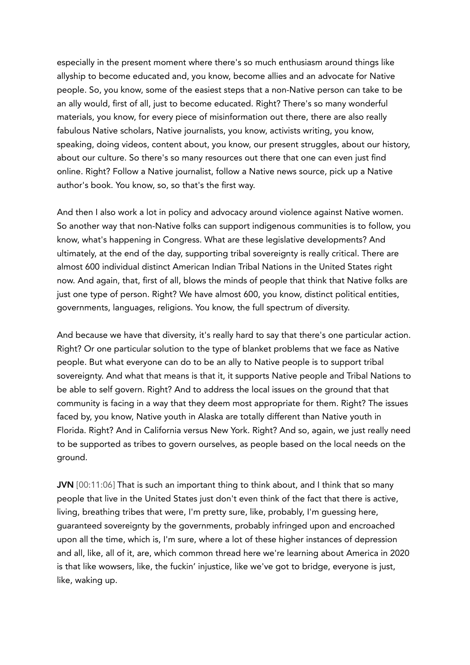especially in the present moment where there's so much enthusiasm around things like allyship to become educated and, you know, become allies and an advocate for Native people. So, you know, some of the easiest steps that a non-Native person can take to be an ally would, first of all, just to become educated. Right? There's so many wonderful materials, you know, for every piece of misinformation out there, there are also really fabulous Native scholars, Native journalists, you know, activists writing, you know, speaking, doing videos, content about, you know, our present struggles, about our history, about our culture. So there's so many resources out there that one can even just find online. Right? Follow a Native journalist, follow a Native news source, pick up a Native author's book. You know, so, so that's the first way.

And then I also work a lot in policy and advocacy around violence against Native women. So another way that non-Native folks can support indigenous communities is to follow, you know, what's happening in Congress. What are these legislative developments? And ultimately, at the end of the day, supporting tribal sovereignty is really critical. There are almost 600 individual distinct American Indian Tribal Nations in the United States right now. And again, that, first of all, blows the minds of people that think that Native folks are just one type of person. Right? We have almost 600, you know, distinct political entities, governments, languages, religions. You know, the full spectrum of diversity.

And because we have that diversity, it's really hard to say that there's one particular action. Right? Or one particular solution to the type of blanket problems that we face as Native people. But what everyone can do to be an ally to Native people is to support tribal sovereignty. And what that means is that it, it supports Native people and Tribal Nations to be able to self govern. Right? And to address the local issues on the ground that that community is facing in a way that they deem most appropriate for them. Right? The issues faced by, you know, Native youth in Alaska are totally different than Native youth in Florida. Right? And in California versus New York. Right? And so, again, we just really need to be supported as tribes to govern ourselves, as people based on the local needs on the ground.

JVN [00:11:06] That is such an important thing to think about, and I think that so many people that live in the United States just don't even think of the fact that there is active, living, breathing tribes that were, I'm pretty sure, like, probably, I'm guessing here, guaranteed sovereignty by the governments, probably infringed upon and encroached upon all the time, which is, I'm sure, where a lot of these higher instances of depression and all, like, all of it, are, which common thread here we're learning about America in 2020 is that like wowsers, like, the fuckin' injustice, like we've got to bridge, everyone is just, like, waking up.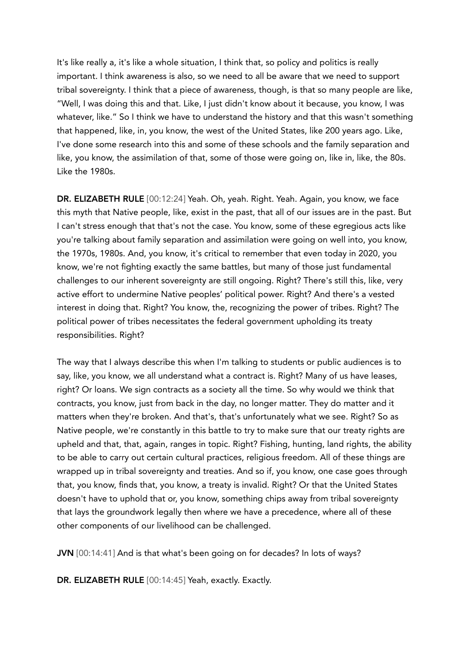It's like really a, it's like a whole situation, I think that, so policy and politics is really important. I think awareness is also, so we need to all be aware that we need to support tribal sovereignty. I think that a piece of awareness, though, is that so many people are like, "Well, I was doing this and that. Like, I just didn't know about it because, you know, I was whatever, like." So I think we have to understand the history and that this wasn't something that happened, like, in, you know, the west of the United States, like 200 years ago. Like, I've done some research into this and some of these schools and the family separation and like, you know, the assimilation of that, some of those were going on, like in, like, the 80s. Like the 1980s.

DR. ELIZABETH RULE [00:12:24] Yeah. Oh, yeah. Right. Yeah. Again, you know, we face this myth that Native people, like, exist in the past, that all of our issues are in the past. But I can't stress enough that that's not the case. You know, some of these egregious acts like you're talking about family separation and assimilation were going on well into, you know, the 1970s, 1980s. And, you know, it's critical to remember that even today in 2020, you know, we're not fighting exactly the same battles, but many of those just fundamental challenges to our inherent sovereignty are still ongoing. Right? There's still this, like, very active effort to undermine Native peoples' political power. Right? And there's a vested interest in doing that. Right? You know, the, recognizing the power of tribes. Right? The political power of tribes necessitates the federal government upholding its treaty responsibilities. Right?

The way that I always describe this when I'm talking to students or public audiences is to say, like, you know, we all understand what a contract is. Right? Many of us have leases, right? Or loans. We sign contracts as a society all the time. So why would we think that contracts, you know, just from back in the day, no longer matter. They do matter and it matters when they're broken. And that's, that's unfortunately what we see. Right? So as Native people, we're constantly in this battle to try to make sure that our treaty rights are upheld and that, that, again, ranges in topic. Right? Fishing, hunting, land rights, the ability to be able to carry out certain cultural practices, religious freedom. All of these things are wrapped up in tribal sovereignty and treaties. And so if, you know, one case goes through that, you know, finds that, you know, a treaty is invalid. Right? Or that the United States doesn't have to uphold that or, you know, something chips away from tribal sovereignty that lays the groundwork legally then where we have a precedence, where all of these other components of our livelihood can be challenged.

JVN [00:14:41] And is that what's been going on for decades? In lots of ways?

DR. ELIZABETH RULE [00:14:45] Yeah, exactly. Exactly.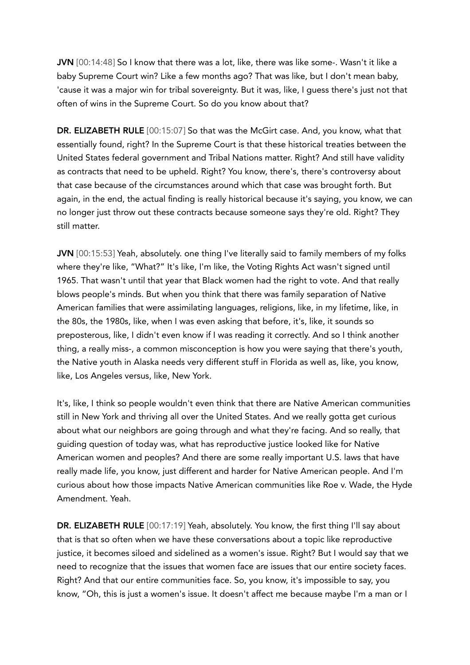JVN [00:14:48] So I know that there was a lot, like, there was like some-. Wasn't it like a baby Supreme Court win? Like a few months ago? That was like, but I don't mean baby, 'cause it was a major win for tribal sovereignty. But it was, like, I guess there's just not that often of wins in the Supreme Court. So do you know about that?

DR. ELIZABETH RULE [00:15:07] So that was the McGirt case. And, you know, what that essentially found, right? In the Supreme Court is that these historical treaties between the United States federal government and Tribal Nations matter. Right? And still have validity as contracts that need to be upheld. Right? You know, there's, there's controversy about that case because of the circumstances around which that case was brought forth. But again, in the end, the actual finding is really historical because it's saying, you know, we can no longer just throw out these contracts because someone says they're old. Right? They still matter.

JVN [00:15:53] Yeah, absolutely. one thing I've literally said to family members of my folks where they're like, "What?" It's like, I'm like, the Voting Rights Act wasn't signed until 1965. That wasn't until that year that Black women had the right to vote. And that really blows people's minds. But when you think that there was family separation of Native American families that were assimilating languages, religions, like, in my lifetime, like, in the 80s, the 1980s, like, when I was even asking that before, it's, like, it sounds so preposterous, like, I didn't even know if I was reading it correctly. And so I think another thing, a really miss-, a common misconception is how you were saying that there's youth, the Native youth in Alaska needs very different stuff in Florida as well as, like, you know, like, Los Angeles versus, like, New York.

It's, like, I think so people wouldn't even think that there are Native American communities still in New York and thriving all over the United States. And we really gotta get curious about what our neighbors are going through and what they're facing. And so really, that guiding question of today was, what has reproductive justice looked like for Native American women and peoples? And there are some really important U.S. laws that have really made life, you know, just different and harder for Native American people. And I'm curious about how those impacts Native American communities like Roe v. Wade, the Hyde Amendment. Yeah.

DR. ELIZABETH RULE [00:17:19] Yeah, absolutely. You know, the first thing I'll say about that is that so often when we have these conversations about a topic like reproductive justice, it becomes siloed and sidelined as a women's issue. Right? But I would say that we need to recognize that the issues that women face are issues that our entire society faces. Right? And that our entire communities face. So, you know, it's impossible to say, you know, "Oh, this is just a women's issue. It doesn't affect me because maybe I'm a man or I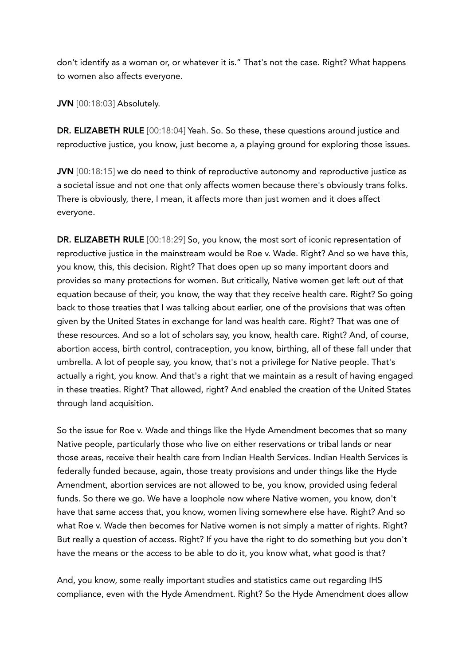don't identify as a woman or, or whatever it is." That's not the case. Right? What happens to women also affects everyone.

JVN [00:18:03] Absolutely.

DR. ELIZABETH RULE [00:18:04] Yeah. So. So these, these questions around justice and reproductive justice, you know, just become a, a playing ground for exploring those issues.

JVN [00:18:15] we do need to think of reproductive autonomy and reproductive justice as a societal issue and not one that only affects women because there's obviously trans folks. There is obviously, there, I mean, it affects more than just women and it does affect everyone.

DR. ELIZABETH RULE [00:18:29] So, you know, the most sort of iconic representation of reproductive justice in the mainstream would be Roe v. Wade. Right? And so we have this, you know, this, this decision. Right? That does open up so many important doors and provides so many protections for women. But critically, Native women get left out of that equation because of their, you know, the way that they receive health care. Right? So going back to those treaties that I was talking about earlier, one of the provisions that was often given by the United States in exchange for land was health care. Right? That was one of these resources. And so a lot of scholars say, you know, health care. Right? And, of course, abortion access, birth control, contraception, you know, birthing, all of these fall under that umbrella. A lot of people say, you know, that's not a privilege for Native people. That's actually a right, you know. And that's a right that we maintain as a result of having engaged in these treaties. Right? That allowed, right? And enabled the creation of the United States through land acquisition.

So the issue for Roe v. Wade and things like the Hyde Amendment becomes that so many Native people, particularly those who live on either reservations or tribal lands or near those areas, receive their health care from Indian Health Services. Indian Health Services is federally funded because, again, those treaty provisions and under things like the Hyde Amendment, abortion services are not allowed to be, you know, provided using federal funds. So there we go. We have a loophole now where Native women, you know, don't have that same access that, you know, women living somewhere else have. Right? And so what Roe v. Wade then becomes for Native women is not simply a matter of rights. Right? But really a question of access. Right? If you have the right to do something but you don't have the means or the access to be able to do it, you know what, what good is that?

And, you know, some really important studies and statistics came out regarding IHS compliance, even with the Hyde Amendment. Right? So the Hyde Amendment does allow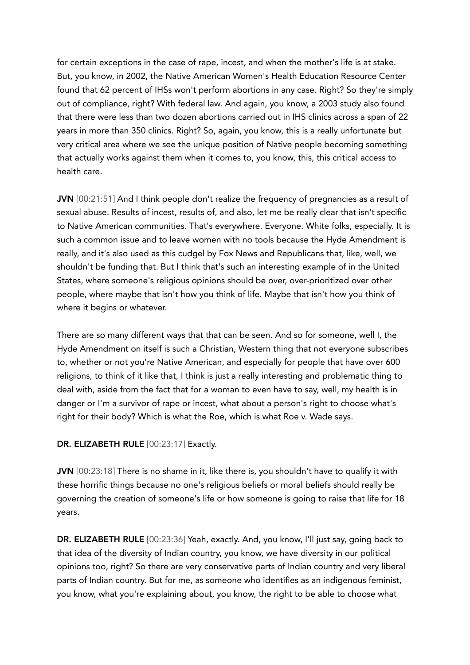for certain exceptions in the case of rape, incest, and when the mother's life is at stake. But, you know, in 2002, the Native American Women's Health Education Resource Center found that 62 percent of IHSs won't perform abortions in any case. Right? So they're simply out of compliance, right? With federal law. And again, you know, a 2003 study also found that there were less than two dozen abortions carried out in IHS clinics across a span of 22 years in more than 350 clinics. Right? So, again, you know, this is a really unfortunate but very critical area where we see the unique position of Native people becoming something that actually works against them when it comes to, you know, this, this critical access to health care.

JVN [00:21:51] And I think people don't realize the frequency of pregnancies as a result of sexual abuse. Results of incest, results of, and also, let me be really clear that isn't specific to Native American communities. That's everywhere. Everyone. White folks, especially. It is such a common issue and to leave women with no tools because the Hyde Amendment is really, and it's also used as this cudgel by Fox News and Republicans that, like, well, we shouldn't be funding that. But I think that's such an interesting example of in the United States, where someone's religious opinions should be over, over-prioritized over other people, where maybe that isn't how you think of life. Maybe that isn't how you think of where it begins or whatever.

There are so many different ways that that can be seen. And so for someone, well I, the Hyde Amendment on itself is such a Christian, Western thing that not everyone subscribes to, whether or not you're Native American, and especially for people that have over 600 religions, to think of it like that, I think is just a really interesting and problematic thing to deal with, aside from the fact that for a woman to even have to say, well, my health is in danger or I'm a survivor of rape or incest, what about a person's right to choose what's right for their body? Which is what the Roe, which is what Roe v. Wade says.

#### DR. ELIZABETH RULE [00:23:17] Exactly.

JVN [00:23:18] There is no shame in it, like there is, you shouldn't have to qualify it with these horrific things because no one's religious beliefs or moral beliefs should really be governing the creation of someone's life or how someone is going to raise that life for 18 years.

DR. ELIZABETH RULE [00:23:36] Yeah, exactly. And, you know, I'll just say, going back to that idea of the diversity of Indian country, you know, we have diversity in our political opinions too, right? So there are very conservative parts of Indian country and very liberal parts of Indian country. But for me, as someone who identifies as an indigenous feminist, you know, what you're explaining about, you know, the right to be able to choose what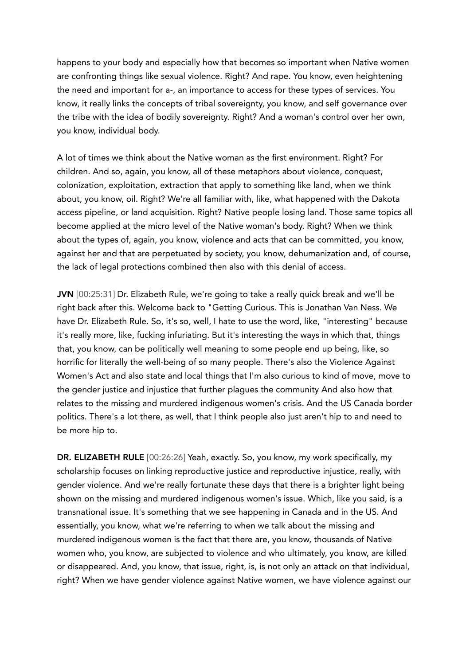happens to your body and especially how that becomes so important when Native women are confronting things like sexual violence. Right? And rape. You know, even heightening the need and important for a-, an importance to access for these types of services. You know, it really links the concepts of tribal sovereignty, you know, and self governance over the tribe with the idea of bodily sovereignty. Right? And a woman's control over her own, you know, individual body.

A lot of times we think about the Native woman as the first environment. Right? For children. And so, again, you know, all of these metaphors about violence, conquest, colonization, exploitation, extraction that apply to something like land, when we think about, you know, oil. Right? We're all familiar with, like, what happened with the Dakota access pipeline, or land acquisition. Right? Native people losing land. Those same topics all become applied at the micro level of the Native woman's body. Right? When we think about the types of, again, you know, violence and acts that can be committed, you know, against her and that are perpetuated by society, you know, dehumanization and, of course, the lack of legal protections combined then also with this denial of access.

JVN [00:25:31] Dr. Elizabeth Rule, we're going to take a really quick break and we'll be right back after this. Welcome back to "Getting Curious. This is Jonathan Van Ness. We have Dr. Elizabeth Rule. So, it's so, well, I hate to use the word, like, "interesting" because it's really more, like, fucking infuriating. But it's interesting the ways in which that, things that, you know, can be politically well meaning to some people end up being, like, so horrific for literally the well-being of so many people. There's also the Violence Against Women's Act and also state and local things that I'm also curious to kind of move, move to the gender justice and injustice that further plagues the community And also how that relates to the missing and murdered indigenous women's crisis. And the US Canada border politics. There's a lot there, as well, that I think people also just aren't hip to and need to be more hip to.

DR. ELIZABETH RULE [00:26:26] Yeah, exactly. So, you know, my work specifically, my scholarship focuses on linking reproductive justice and reproductive injustice, really, with gender violence. And we're really fortunate these days that there is a brighter light being shown on the missing and murdered indigenous women's issue. Which, like you said, is a transnational issue. It's something that we see happening in Canada and in the US. And essentially, you know, what we're referring to when we talk about the missing and murdered indigenous women is the fact that there are, you know, thousands of Native women who, you know, are subjected to violence and who ultimately, you know, are killed or disappeared. And, you know, that issue, right, is, is not only an attack on that individual, right? When we have gender violence against Native women, we have violence against our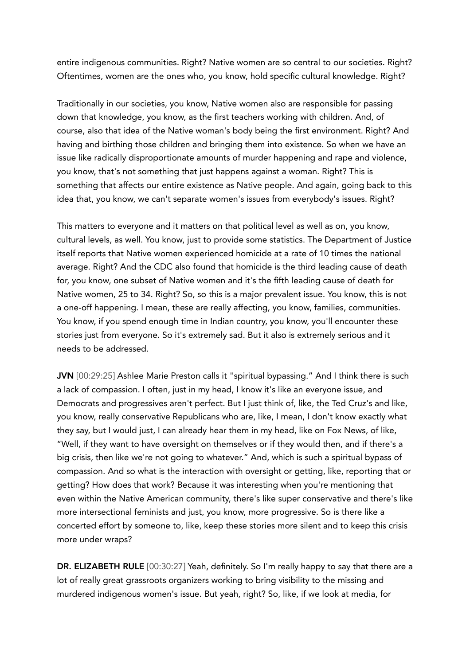entire indigenous communities. Right? Native women are so central to our societies. Right? Oftentimes, women are the ones who, you know, hold specific cultural knowledge. Right?

Traditionally in our societies, you know, Native women also are responsible for passing down that knowledge, you know, as the first teachers working with children. And, of course, also that idea of the Native woman's body being the first environment. Right? And having and birthing those children and bringing them into existence. So when we have an issue like radically disproportionate amounts of murder happening and rape and violence, you know, that's not something that just happens against a woman. Right? This is something that affects our entire existence as Native people. And again, going back to this idea that, you know, we can't separate women's issues from everybody's issues. Right?

This matters to everyone and it matters on that political level as well as on, you know, cultural levels, as well. You know, just to provide some statistics. The Department of Justice itself reports that Native women experienced homicide at a rate of 10 times the national average. Right? And the CDC also found that homicide is the third leading cause of death for, you know, one subset of Native women and it's the fifth leading cause of death for Native women, 25 to 34. Right? So, so this is a major prevalent issue. You know, this is not a one-off happening. I mean, these are really affecting, you know, families, communities. You know, if you spend enough time in Indian country, you know, you'll encounter these stories just from everyone. So it's extremely sad. But it also is extremely serious and it needs to be addressed.

JVN [00:29:25] Ashlee Marie Preston calls it "spiritual bypassing." And I think there is such a lack of compassion. I often, just in my head, I know it's like an everyone issue, and Democrats and progressives aren't perfect. But I just think of, like, the Ted Cruz's and like, you know, really conservative Republicans who are, like, I mean, I don't know exactly what they say, but I would just, I can already hear them in my head, like on Fox News, of like, "Well, if they want to have oversight on themselves or if they would then, and if there's a big crisis, then like we're not going to whatever." And, which is such a spiritual bypass of compassion. And so what is the interaction with oversight or getting, like, reporting that or getting? How does that work? Because it was interesting when you're mentioning that even within the Native American community, there's like super conservative and there's like more intersectional feminists and just, you know, more progressive. So is there like a concerted effort by someone to, like, keep these stories more silent and to keep this crisis more under wraps?

DR. ELIZABETH RULE [00:30:27] Yeah, definitely. So I'm really happy to say that there are a lot of really great grassroots organizers working to bring visibility to the missing and murdered indigenous women's issue. But yeah, right? So, like, if we look at media, for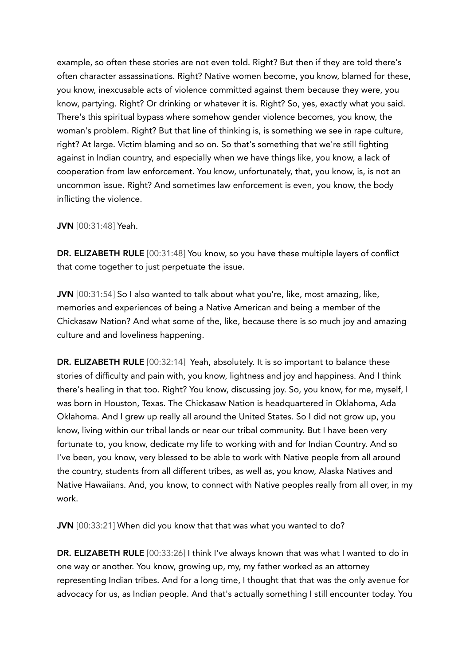example, so often these stories are not even told. Right? But then if they are told there's often character assassinations. Right? Native women become, you know, blamed for these, you know, inexcusable acts of violence committed against them because they were, you know, partying. Right? Or drinking or whatever it is. Right? So, yes, exactly what you said. There's this spiritual bypass where somehow gender violence becomes, you know, the woman's problem. Right? But that line of thinking is, is something we see in rape culture, right? At large. Victim blaming and so on. So that's something that we're still fighting against in Indian country, and especially when we have things like, you know, a lack of cooperation from law enforcement. You know, unfortunately, that, you know, is, is not an uncommon issue. Right? And sometimes law enforcement is even, you know, the body inflicting the violence.

JVN [00:31:48] Yeah.

DR. ELIZABETH RULE [00:31:48] You know, so you have these multiple layers of conflict that come together to just perpetuate the issue.

JVN [00:31:54] So I also wanted to talk about what you're, like, most amazing, like, memories and experiences of being a Native American and being a member of the Chickasaw Nation? And what some of the, like, because there is so much joy and amazing culture and and loveliness happening.

DR. ELIZABETH RULE [00:32:14] Yeah, absolutely. It is so important to balance these stories of difficulty and pain with, you know, lightness and joy and happiness. And I think there's healing in that too. Right? You know, discussing joy. So, you know, for me, myself, I was born in Houston, Texas. The Chickasaw Nation is headquartered in Oklahoma, Ada Oklahoma. And I grew up really all around the United States. So I did not grow up, you know, living within our tribal lands or near our tribal community. But I have been very fortunate to, you know, dedicate my life to working with and for Indian Country. And so I've been, you know, very blessed to be able to work with Native people from all around the country, students from all different tribes, as well as, you know, Alaska Natives and Native Hawaiians. And, you know, to connect with Native peoples really from all over, in my work.

JVN [00:33:21] When did you know that that was what you wanted to do?

DR. ELIZABETH RULE [00:33:26] I think I've always known that was what I wanted to do in one way or another. You know, growing up, my, my father worked as an attorney representing Indian tribes. And for a long time, I thought that that was the only avenue for advocacy for us, as Indian people. And that's actually something I still encounter today. You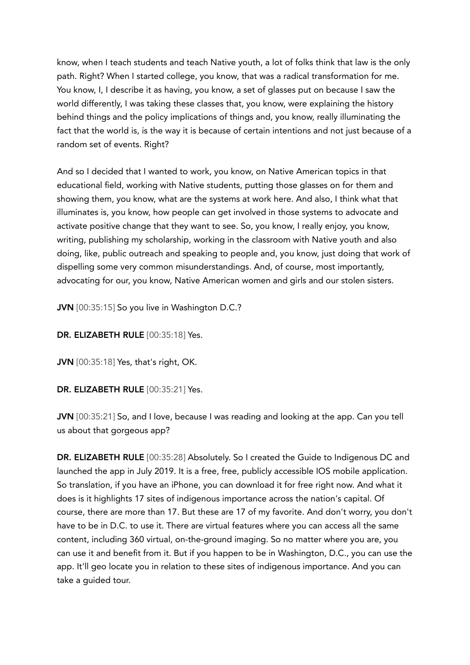know, when I teach students and teach Native youth, a lot of folks think that law is the only path. Right? When I started college, you know, that was a radical transformation for me. You know, I, I describe it as having, you know, a set of glasses put on because I saw the world differently, I was taking these classes that, you know, were explaining the history behind things and the policy implications of things and, you know, really illuminating the fact that the world is, is the way it is because of certain intentions and not just because of a random set of events. Right?

And so I decided that I wanted to work, you know, on Native American topics in that educational field, working with Native students, putting those glasses on for them and showing them, you know, what are the systems at work here. And also, I think what that illuminates is, you know, how people can get involved in those systems to advocate and activate positive change that they want to see. So, you know, I really enjoy, you know, writing, publishing my scholarship, working in the classroom with Native youth and also doing, like, public outreach and speaking to people and, you know, just doing that work of dispelling some very common misunderstandings. And, of course, most importantly, advocating for our, you know, Native American women and girls and our stolen sisters.

JVN [00:35:15] So you live in Washington D.C.?

DR. ELIZABETH RULE [00:35:18] Yes.

JVN [00:35:18] Yes, that's right, OK.

DR. ELIZABETH RULE [00:35:21] Yes.

JVN [00:35:21] So, and I love, because I was reading and looking at the app. Can you tell us about that gorgeous app?

DR. ELIZABETH RULE [00:35:28] Absolutely. So I created the Guide to Indigenous DC and launched the app in July 2019. It is a free, free, publicly accessible IOS mobile application. So translation, if you have an iPhone, you can download it for free right now. And what it does is it highlights 17 sites of indigenous importance across the nation's capital. Of course, there are more than 17. But these are 17 of my favorite. And don't worry, you don't have to be in D.C. to use it. There are virtual features where you can access all the same content, including 360 virtual, on-the-ground imaging. So no matter where you are, you can use it and benefit from it. But if you happen to be in Washington, D.C., you can use the app. It'll geo locate you in relation to these sites of indigenous importance. And you can take a guided tour.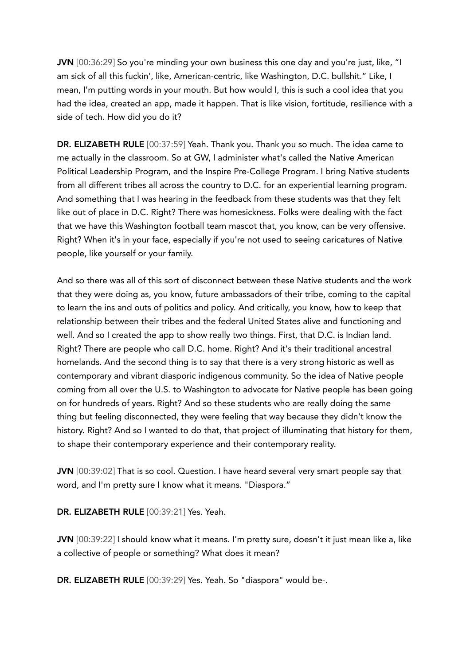JVN [00:36:29] So you're minding your own business this one day and you're just, like, "I am sick of all this fuckin', like, American-centric, like Washington, D.C. bullshit." Like, I mean, I'm putting words in your mouth. But how would I, this is such a cool idea that you had the idea, created an app, made it happen. That is like vision, fortitude, resilience with a side of tech. How did you do it?

DR. ELIZABETH RULE [00:37:59] Yeah. Thank you. Thank you so much. The idea came to me actually in the classroom. So at GW, I administer what's called the Native American Political Leadership Program, and the Inspire Pre-College Program. I bring Native students from all different tribes all across the country to D.C. for an experiential learning program. And something that I was hearing in the feedback from these students was that they felt like out of place in D.C. Right? There was homesickness. Folks were dealing with the fact that we have this Washington football team mascot that, you know, can be very offensive. Right? When it's in your face, especially if you're not used to seeing caricatures of Native people, like yourself or your family.

And so there was all of this sort of disconnect between these Native students and the work that they were doing as, you know, future ambassadors of their tribe, coming to the capital to learn the ins and outs of politics and policy. And critically, you know, how to keep that relationship between their tribes and the federal United States alive and functioning and well. And so I created the app to show really two things. First, that D.C. is Indian land. Right? There are people who call D.C. home. Right? And it's their traditional ancestral homelands. And the second thing is to say that there is a very strong historic as well as contemporary and vibrant diasporic indigenous community. So the idea of Native people coming from all over the U.S. to Washington to advocate for Native people has been going on for hundreds of years. Right? And so these students who are really doing the same thing but feeling disconnected, they were feeling that way because they didn't know the history. Right? And so I wanted to do that, that project of illuminating that history for them, to shape their contemporary experience and their contemporary reality.

JVN [00:39:02] That is so cool. Question. I have heard several very smart people say that word, and I'm pretty sure I know what it means. "Diaspora."

DR. ELIZABETH RULE [00:39:21] Yes. Yeah.

JVN [00:39:22] I should know what it means. I'm pretty sure, doesn't it just mean like a, like a collective of people or something? What does it mean?

DR. ELIZABETH RULE [00:39:29] Yes. Yeah. So "diaspora" would be-.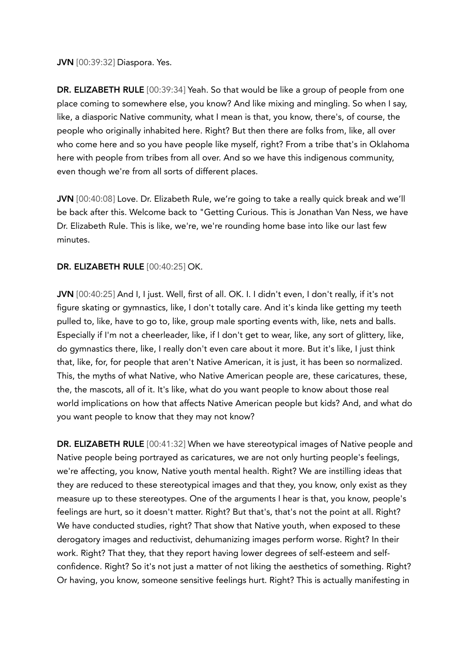JVN [00:39:32] Diaspora. Yes.

DR. ELIZABETH RULE [00:39:34] Yeah. So that would be like a group of people from one place coming to somewhere else, you know? And like mixing and mingling. So when I say, like, a diasporic Native community, what I mean is that, you know, there's, of course, the people who originally inhabited here. Right? But then there are folks from, like, all over who come here and so you have people like myself, right? From a tribe that's in Oklahoma here with people from tribes from all over. And so we have this indigenous community, even though we're from all sorts of different places.

JVN [00:40:08] Love. Dr. Elizabeth Rule, we're going to take a really quick break and we'll be back after this. Welcome back to "Getting Curious. This is Jonathan Van Ness, we have Dr. Elizabeth Rule. This is like, we're, we're rounding home base into like our last few minutes.

## DR. ELIZABETH RULE [00:40:25] OK.

JVN [00:40:25] And I, I just. Well, first of all. OK. I. I didn't even, I don't really, if it's not figure skating or gymnastics, like, I don't totally care. And it's kinda like getting my teeth pulled to, like, have to go to, like, group male sporting events with, like, nets and balls. Especially if I'm not a cheerleader, like, if I don't get to wear, like, any sort of glittery, like, do gymnastics there, like, I really don't even care about it more. But it's like, I just think that, like, for, for people that aren't Native American, it is just, it has been so normalized. This, the myths of what Native, who Native American people are, these caricatures, these, the, the mascots, all of it. It's like, what do you want people to know about those real world implications on how that affects Native American people but kids? And, and what do you want people to know that they may not know?

DR. ELIZABETH RULE [00:41:32] When we have stereotypical images of Native people and Native people being portrayed as caricatures, we are not only hurting people's feelings, we're affecting, you know, Native youth mental health. Right? We are instilling ideas that they are reduced to these stereotypical images and that they, you know, only exist as they measure up to these stereotypes. One of the arguments I hear is that, you know, people's feelings are hurt, so it doesn't matter. Right? But that's, that's not the point at all. Right? We have conducted studies, right? That show that Native youth, when exposed to these derogatory images and reductivist, dehumanizing images perform worse. Right? In their work. Right? That they, that they report having lower degrees of self-esteem and selfconfidence. Right? So it's not just a matter of not liking the aesthetics of something. Right? Or having, you know, someone sensitive feelings hurt. Right? This is actually manifesting in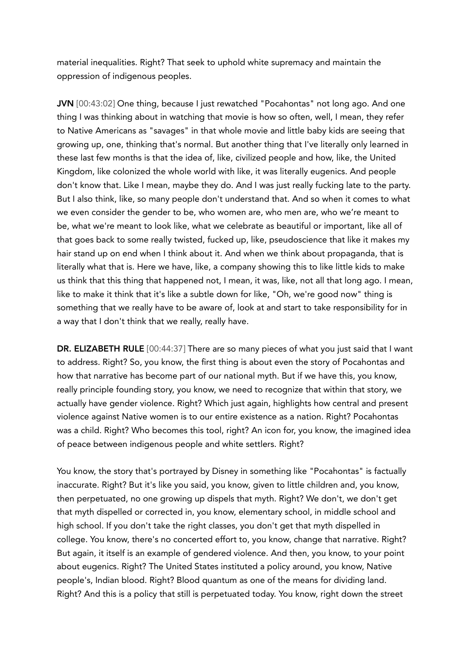material inequalities. Right? That seek to uphold white supremacy and maintain the oppression of indigenous peoples.

JVN [00:43:02] One thing, because I just rewatched "Pocahontas" not long ago. And one thing I was thinking about in watching that movie is how so often, well, I mean, they refer to Native Americans as "savages" in that whole movie and little baby kids are seeing that growing up, one, thinking that's normal. But another thing that I've literally only learned in these last few months is that the idea of, like, civilized people and how, like, the United Kingdom, like colonized the whole world with like, it was literally eugenics. And people don't know that. Like I mean, maybe they do. And I was just really fucking late to the party. But I also think, like, so many people don't understand that. And so when it comes to what we even consider the gender to be, who women are, who men are, who we're meant to be, what we're meant to look like, what we celebrate as beautiful or important, like all of that goes back to some really twisted, fucked up, like, pseudoscience that like it makes my hair stand up on end when I think about it. And when we think about propaganda, that is literally what that is. Here we have, like, a company showing this to like little kids to make us think that this thing that happened not, I mean, it was, like, not all that long ago. I mean, like to make it think that it's like a subtle down for like, "Oh, we're good now" thing is something that we really have to be aware of, look at and start to take responsibility for in a way that I don't think that we really, really have.

DR. ELIZABETH RULE [00:44:37] There are so many pieces of what you just said that I want to address. Right? So, you know, the first thing is about even the story of Pocahontas and how that narrative has become part of our national myth. But if we have this, you know, really principle founding story, you know, we need to recognize that within that story, we actually have gender violence. Right? Which just again, highlights how central and present violence against Native women is to our entire existence as a nation. Right? Pocahontas was a child. Right? Who becomes this tool, right? An icon for, you know, the imagined idea of peace between indigenous people and white settlers. Right?

You know, the story that's portrayed by Disney in something like "Pocahontas" is factually inaccurate. Right? But it's like you said, you know, given to little children and, you know, then perpetuated, no one growing up dispels that myth. Right? We don't, we don't get that myth dispelled or corrected in, you know, elementary school, in middle school and high school. If you don't take the right classes, you don't get that myth dispelled in college. You know, there's no concerted effort to, you know, change that narrative. Right? But again, it itself is an example of gendered violence. And then, you know, to your point about eugenics. Right? The United States instituted a policy around, you know, Native people's, Indian blood. Right? Blood quantum as one of the means for dividing land. Right? And this is a policy that still is perpetuated today. You know, right down the street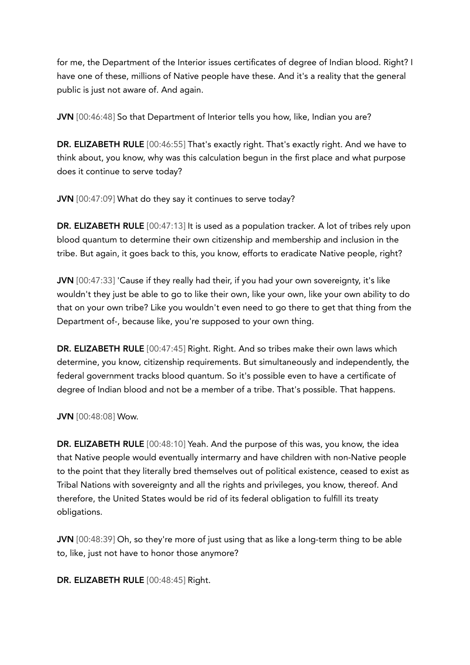for me, the Department of the Interior issues certificates of degree of Indian blood. Right? I have one of these, millions of Native people have these. And it's a reality that the general public is just not aware of. And again.

JVN [00:46:48] So that Department of Interior tells you how, like, Indian you are?

DR. ELIZABETH RULE [00:46:55] That's exactly right. That's exactly right. And we have to think about, you know, why was this calculation begun in the first place and what purpose does it continue to serve today?

JVN [00:47:09] What do they say it continues to serve today?

DR. ELIZABETH RULE [00:47:13] It is used as a population tracker. A lot of tribes rely upon blood quantum to determine their own citizenship and membership and inclusion in the tribe. But again, it goes back to this, you know, efforts to eradicate Native people, right?

JVN [00:47:33] 'Cause if they really had their, if you had your own sovereignty, it's like wouldn't they just be able to go to like their own, like your own, like your own ability to do that on your own tribe? Like you wouldn't even need to go there to get that thing from the Department of-, because like, you're supposed to your own thing.

DR. ELIZABETH RULE [00:47:45] Right. Right. And so tribes make their own laws which determine, you know, citizenship requirements. But simultaneously and independently, the federal government tracks blood quantum. So it's possible even to have a certificate of degree of Indian blood and not be a member of a tribe. That's possible. That happens.

JVN [00:48:08] Wow.

DR. ELIZABETH RULE [00:48:10] Yeah. And the purpose of this was, you know, the idea that Native people would eventually intermarry and have children with non-Native people to the point that they literally bred themselves out of political existence, ceased to exist as Tribal Nations with sovereignty and all the rights and privileges, you know, thereof. And therefore, the United States would be rid of its federal obligation to fulfill its treaty obligations.

JVN [00:48:39] Oh, so they're more of just using that as like a long-term thing to be able to, like, just not have to honor those anymore?

DR. ELIZABETH RULE [00:48:45] Right.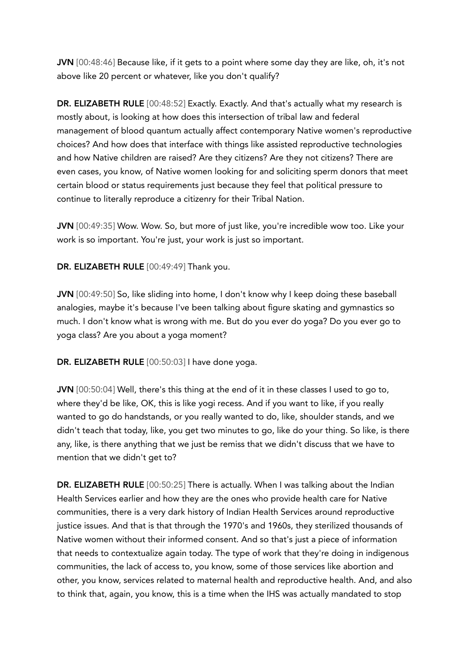JVN [00:48:46] Because like, if it gets to a point where some day they are like, oh, it's not above like 20 percent or whatever, like you don't qualify?

DR. ELIZABETH RULE [00:48:52] Exactly. Exactly. And that's actually what my research is mostly about, is looking at how does this intersection of tribal law and federal management of blood quantum actually affect contemporary Native women's reproductive choices? And how does that interface with things like assisted reproductive technologies and how Native children are raised? Are they citizens? Are they not citizens? There are even cases, you know, of Native women looking for and soliciting sperm donors that meet certain blood or status requirements just because they feel that political pressure to continue to literally reproduce a citizenry for their Tribal Nation.

JVN [00:49:35] Wow. Wow. So, but more of just like, you're incredible wow too. Like your work is so important. You're just, your work is just so important.

#### DR. ELIZABETH RULE [00:49:49] Thank you.

JVN [00:49:50] So, like sliding into home, I don't know why I keep doing these baseball analogies, maybe it's because I've been talking about figure skating and gymnastics so much. I don't know what is wrong with me. But do you ever do yoga? Do you ever go to yoga class? Are you about a yoga moment?

DR. ELIZABETH RULE [00:50:03] I have done yoga.

JVN [00:50:04] Well, there's this thing at the end of it in these classes I used to go to, where they'd be like, OK, this is like yogi recess. And if you want to like, if you really wanted to go do handstands, or you really wanted to do, like, shoulder stands, and we didn't teach that today, like, you get two minutes to go, like do your thing. So like, is there any, like, is there anything that we just be remiss that we didn't discuss that we have to mention that we didn't get to?

DR. ELIZABETH RULE [00:50:25] There is actually. When I was talking about the Indian Health Services earlier and how they are the ones who provide health care for Native communities, there is a very dark history of Indian Health Services around reproductive justice issues. And that is that through the 1970's and 1960s, they sterilized thousands of Native women without their informed consent. And so that's just a piece of information that needs to contextualize again today. The type of work that they're doing in indigenous communities, the lack of access to, you know, some of those services like abortion and other, you know, services related to maternal health and reproductive health. And, and also to think that, again, you know, this is a time when the IHS was actually mandated to stop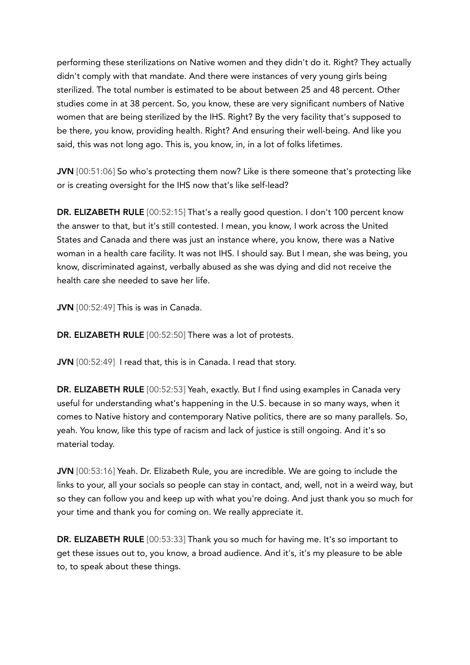performing these sterilizations on Native women and they didn't do it. Right? They actually didn't comply with that mandate. And there were instances of very young girls being sterilized. The total number is estimated to be about between 25 and 48 percent. Other studies come in at 38 percent. So, you know, these are very significant numbers of Native women that are being sterilized by the IHS. Right? By the very facility that's supposed to be there, you know, providing health. Right? And ensuring their well-being. And like you said, this was not long ago. This is, you know, in, in a lot of folks lifetimes.

JVN [00:51:06] So who's protecting them now? Like is there someone that's protecting like or is creating oversight for the IHS now that's like self-lead?

DR. ELIZABETH RULE [00:52:15] That's a really good question. I don't 100 percent know the answer to that, but it's still contested. I mean, you know, I work across the United States and Canada and there was just an instance where, you know, there was a Native woman in a health care facility. It was not IHS. I should say. But I mean, she was being, you know, discriminated against, verbally abused as she was dying and did not receive the health care she needed to save her life.

JVN [00:52:49] This is was in Canada.

DR. ELIZABETH RULE [00:52:50] There was a lot of protests.

JVN [00:52:49] I read that, this is in Canada. I read that story.

DR. ELIZABETH RULE [00:52:53] Yeah, exactly. But I find using examples in Canada very useful for understanding what's happening in the U.S. because in so many ways, when it comes to Native history and contemporary Native politics, there are so many parallels. So, yeah. You know, like this type of racism and lack of justice is still ongoing. And it's so material today.

JVN [00:53:16] Yeah. Dr. Elizabeth Rule, you are incredible. We are going to include the links to your, all your socials so people can stay in contact, and, well, not in a weird way, but so they can follow you and keep up with what you're doing. And just thank you so much for your time and thank you for coming on. We really appreciate it.

DR. ELIZABETH RULE [00:53:33] Thank you so much for having me. It's so important to get these issues out to, you know, a broad audience. And it's, it's my pleasure to be able to, to speak about these things.